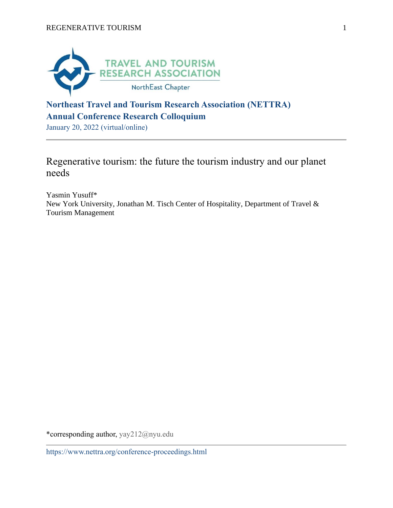

## **Northeast Travel and Tourism Research Association (NETTRA) Annual Conference Research Colloquium**

January 20, 2022 (virtual/online)

# Regenerative tourism: the future the tourism industry and our planet needs

Yasmin Yusuff\* New York University, Jonathan M. Tisch Center of Hospitality, Department of Travel & Tourism Management

\*corresponding author, yay212@nyu.edu

https://www.nettra.org/conference-proceedings.html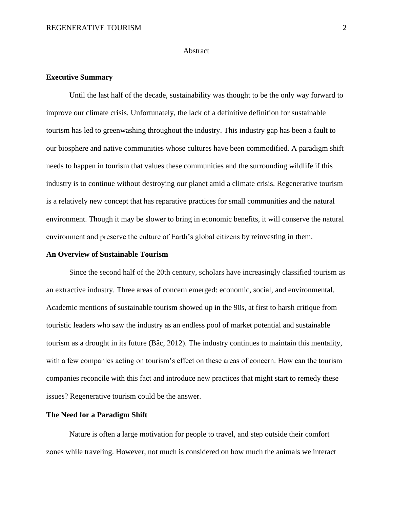#### **Abstract**

### **Executive Summary**

Until the last half of the decade, sustainability was thought to be the only way forward to improve our climate crisis. Unfortunately, the lack of a definitive definition for sustainable tourism has led to greenwashing throughout the industry. This industry gap has been a fault to our biosphere and native communities whose cultures have been commodified. A paradigm shift needs to happen in tourism that values these communities and the surrounding wildlife if this industry is to continue without destroying our planet amid a climate crisis. Regenerative tourism is a relatively new concept that has reparative practices for small communities and the natural environment. Though it may be slower to bring in economic benefits, it will conserve the natural environment and preserve the culture of Earth's global citizens by reinvesting in them.

#### **An Overview of Sustainable Tourism**

Since the second half of the 20th century, scholars have increasingly classified tourism as an extractive industry. Three areas of concern emerged: economic, social, and environmental. Academic mentions of sustainable tourism showed up in the 90s, at first to harsh critique from touristic leaders who saw the industry as an endless pool of market potential and sustainable tourism as a drought in its future (Bâc, 2012). The industry continues to maintain this mentality, with a few companies acting on tourism's effect on these areas of concern. How can the tourism companies reconcile with this fact and introduce new practices that might start to remedy these issues? Regenerative tourism could be the answer.

#### **The Need for a Paradigm Shift**

Nature is often a large motivation for people to travel, and step outside their comfort zones while traveling. However, not much is considered on how much the animals we interact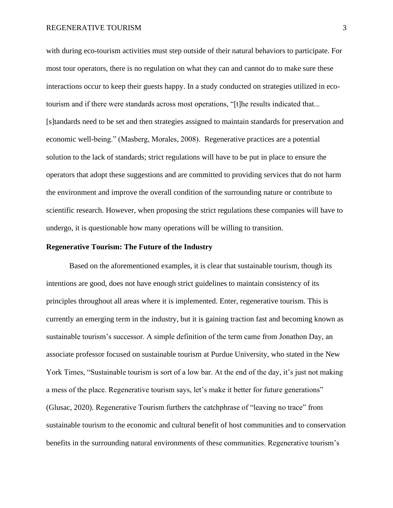#### REGENERATIVE TOURISM 3

with during eco-tourism activities must step outside of their natural behaviors to participate. For most tour operators, there is no regulation on what they can and cannot do to make sure these interactions occur to keep their guests happy. In a study conducted on strategies utilized in ecotourism and if there were standards across most operations, "[t]he results indicated that... [s]tandards need to be set and then strategies assigned to maintain standards for preservation and economic well-being." (Masberg, Morales, 2008). Regenerative practices are a potential solution to the lack of standards; strict regulations will have to be put in place to ensure the operators that adopt these suggestions and are committed to providing services that do not harm the environment and improve the overall condition of the surrounding nature or contribute to scientific research. However, when proposing the strict regulations these companies will have to undergo, it is questionable how many operations will be willing to transition.

### **Regenerative Tourism: The Future of the Industry**

Based on the aforementioned examples, it is clear that sustainable tourism, though its intentions are good, does not have enough strict guidelines to maintain consistency of its principles throughout all areas where it is implemented. Enter, regenerative tourism. This is currently an emerging term in the industry, but it is gaining traction fast and becoming known as sustainable tourism's successor. A simple definition of the term came from Jonathon Day, an associate professor focused on sustainable tourism at Purdue University, who stated in the New York Times, "Sustainable tourism is sort of a low bar. At the end of the day, it's just not making a mess of the place. Regenerative tourism says, let's make it better for future generations" (Glusac, 2020). Regenerative Tourism furthers the catchphrase of "leaving no trace" from sustainable tourism to the economic and cultural benefit of host communities and to conservation benefits in the surrounding natural environments of these communities. Regenerative tourism's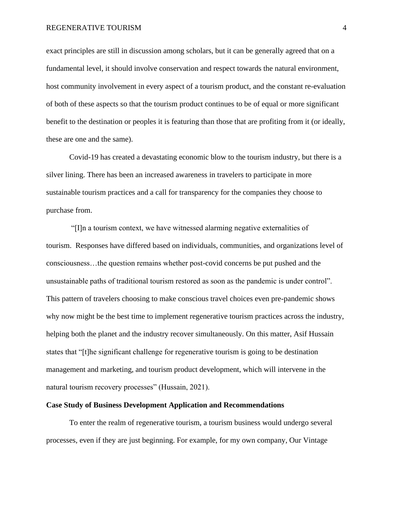#### REGENERATIVE TOURISM 4

exact principles are still in discussion among scholars, but it can be generally agreed that on a fundamental level, it should involve conservation and respect towards the natural environment, host community involvement in every aspect of a tourism product, and the constant re-evaluation of both of these aspects so that the tourism product continues to be of equal or more significant benefit to the destination or peoples it is featuring than those that are profiting from it (or ideally, these are one and the same).

Covid-19 has created a devastating economic blow to the tourism industry, but there is a silver lining. There has been an increased awareness in travelers to participate in more sustainable tourism practices and a call for transparency for the companies they choose to purchase from.

"[I]n a tourism context, we have witnessed alarming negative externalities of tourism. Responses have differed based on individuals, communities, and organizations level of consciousness…the question remains whether post-covid concerns be put pushed and the unsustainable paths of traditional tourism restored as soon as the pandemic is under control". This pattern of travelers choosing to make conscious travel choices even pre-pandemic shows why now might be the best time to implement regenerative tourism practices across the industry, helping both the planet and the industry recover simultaneously. On this matter, Asif Hussain states that "[t]he significant challenge for regenerative tourism is going to be destination management and marketing, and tourism product development, which will intervene in the natural tourism recovery processes" (Hussain, 2021).

#### **Case Study of Business Development Application and Recommendations**

To enter the realm of regenerative tourism, a tourism business would undergo several processes, even if they are just beginning. For example, for my own company, Our Vintage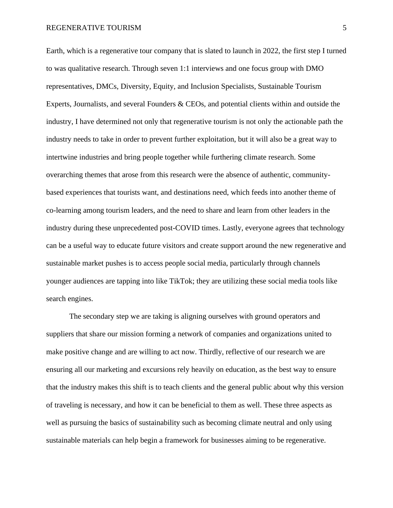#### REGENERATIVE TOURISM 5

Earth, which is a regenerative tour company that is slated to launch in 2022, the first step I turned to was qualitative research. Through seven 1:1 interviews and one focus group with DMO representatives, DMCs, Diversity, Equity, and Inclusion Specialists, Sustainable Tourism Experts, Journalists, and several Founders & CEOs, and potential clients within and outside the industry, I have determined not only that regenerative tourism is not only the actionable path the industry needs to take in order to prevent further exploitation, but it will also be a great way to intertwine industries and bring people together while furthering climate research. Some overarching themes that arose from this research were the absence of authentic, communitybased experiences that tourists want, and destinations need, which feeds into another theme of co-learning among tourism leaders, and the need to share and learn from other leaders in the industry during these unprecedented post-COVID times. Lastly, everyone agrees that technology can be a useful way to educate future visitors and create support around the new regenerative and sustainable market pushes is to access people social media, particularly through channels younger audiences are tapping into like TikTok; they are utilizing these social media tools like search engines.

The secondary step we are taking is aligning ourselves with ground operators and suppliers that share our mission forming a network of companies and organizations united to make positive change and are willing to act now. Thirdly, reflective of our research we are ensuring all our marketing and excursions rely heavily on education, as the best way to ensure that the industry makes this shift is to teach clients and the general public about why this version of traveling is necessary, and how it can be beneficial to them as well. These three aspects as well as pursuing the basics of sustainability such as becoming climate neutral and only using sustainable materials can help begin a framework for businesses aiming to be regenerative.